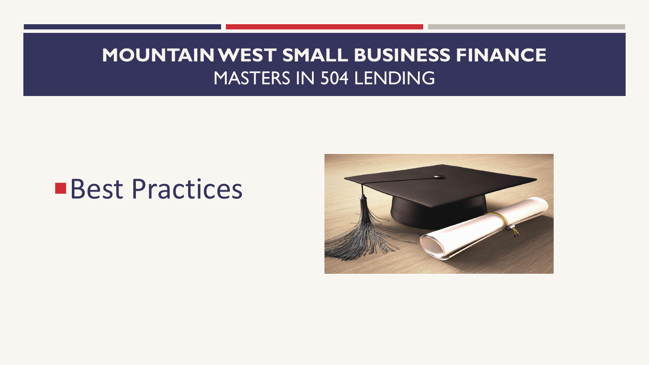# **Best Practices**

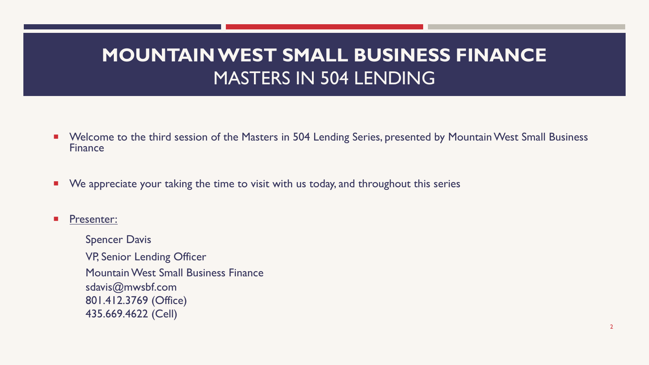- Welcome to the third session of the Masters in 504 Lending Series, presented by Mountain West Small Business Finance
- We appreciate your taking the time to visit with us today, and throughout this series

Presenter:

Spencer Davis VP, Senior Lending Officer Mountain West Small Business Finance sdavis@mwsbf.com 801.412.3769 (Office) 435.669.4622 (Cell)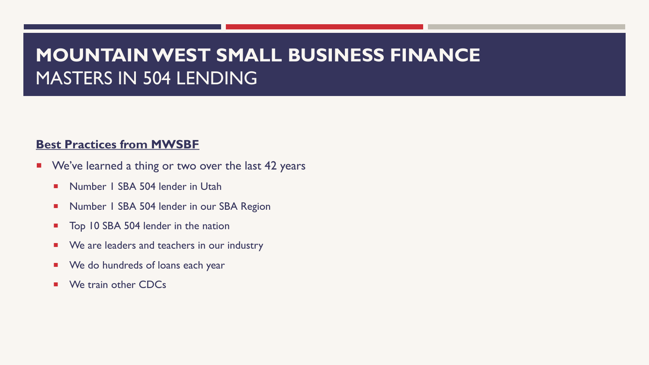#### **Best Practices from MWSBF**

- **We've learned a thing or two over the last 42 years** 
	- **Number 1 SBA 504 lender in Utah**
	- **Number 1 SBA 504 lender in our SBA Region**
	- Top 10 SBA 504 lender in the nation
	- **EXECUTE:** We are leaders and teachers in our industry
	- **EXEQUE A** We do hundreds of loans each year
	- We train other CDCs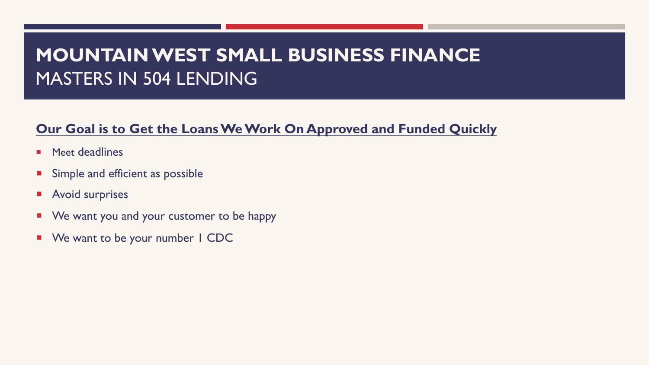#### **Our Goal is to Get the Loans We Work On Approved and Funded Quickly**

- **E** Meet deadlines
- **EXTERCH** Simple and efficient as possible
- **E** Avoid surprises
- **We want you and your customer to be happy**
- We want to be your number I CDC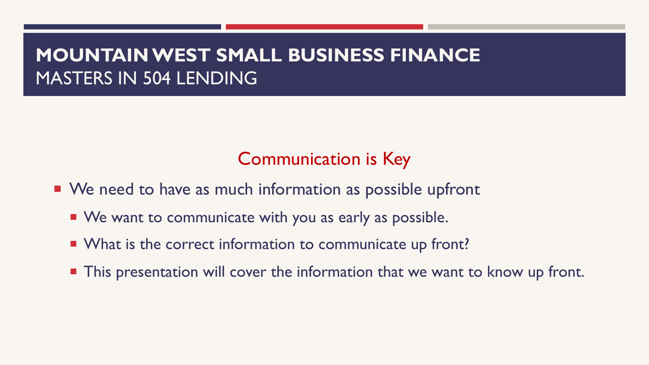## Communication is Key

- We need to have as much information as possible upfront
	- We want to communicate with you as early as possible.
	- **What is the correct information to communicate up front?**
	- **This presentation will cover the information that we want to know up front.**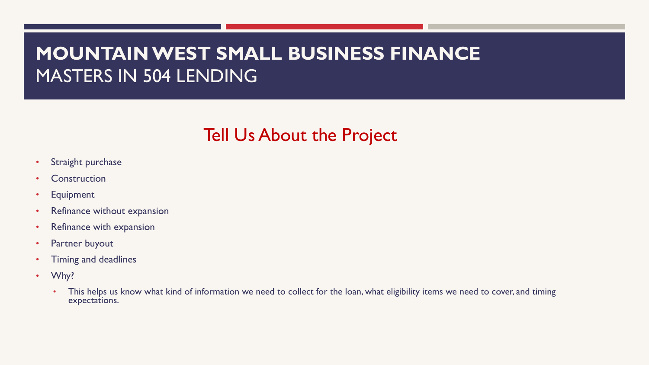#### Tell Us About the Project

- Straight purchase
- **Construction**
- **Equipment**
- Refinance without expansion
- Refinance with expansion
- Partner buyout
- Timing and deadlines
- Why?
	- This helps us know what kind of information we need to collect for the loan, what eligibility items we need to cover, and timing expectations.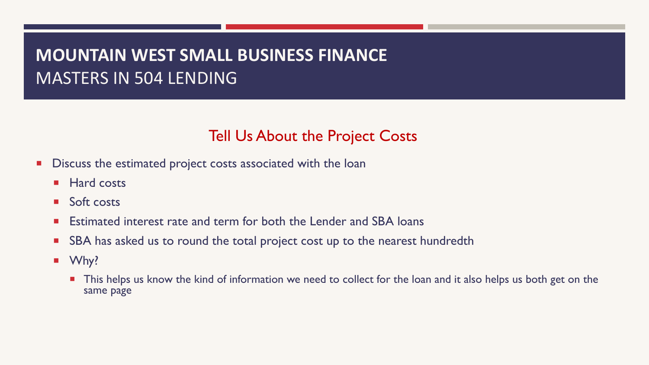#### Tell Us About the Project Costs

- **Discuss the estimated project costs associated with the loan** 
	- **E** Hard costs
	- Soft costs
	- Estimated interest rate and term for both the Lender and SBA loans
	- SBA has asked us to round the total project cost up to the nearest hundredth
	- Why?
		- **This helps us know the kind of information we need to collect for the loan and it also helps us both get on the** same page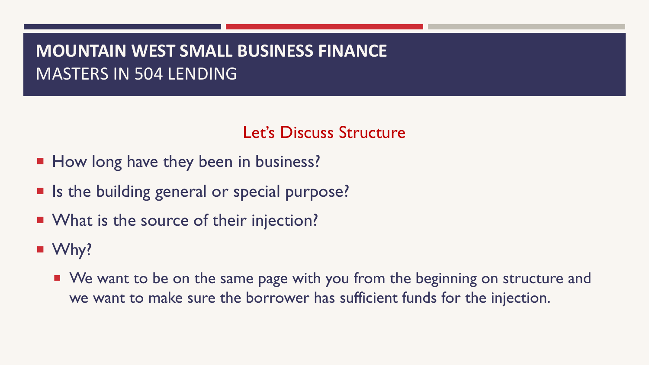#### Let's Discuss Structure

- How long have they been in business?
- Is the building general or special purpose?
- What is the source of their injection?
- Why?
	- We want to be on the same page with you from the beginning on structure and we want to make sure the borrower has sufficient funds for the injection.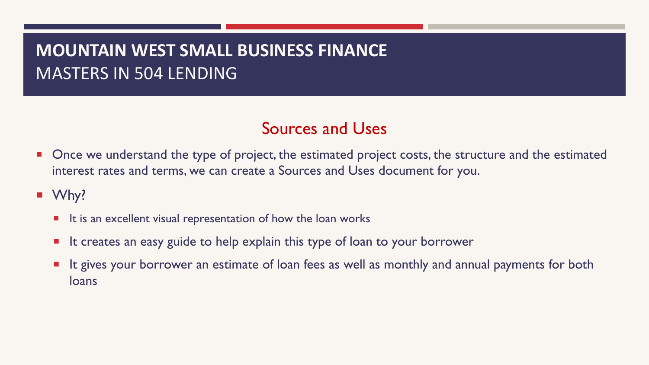#### Sources and Uses

- **Once we understand the type of project, the estimated project costs, the structure and the estimated** interest rates and terms, we can create a Sources and Uses document for you.
- Why?
	- $\blacksquare$  It is an excellent visual representation of how the loan works
	- It creates an easy guide to help explain this type of loan to your borrower
	- **If It gives your borrower an estimate of loan fees as well as monthly and annual payments for both** loans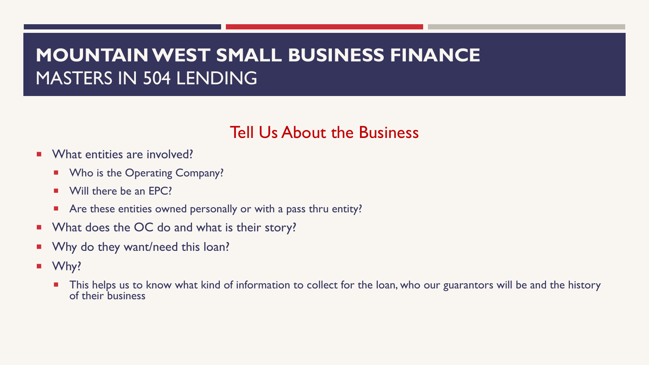#### Tell Us About the Business

- **What entities are involved?** 
	- **■** Who is the Operating Company?
	- Will there be an EPC?
	- **E** Are these entities owned personally or with a pass thru entity?
- **Notable 3 No Exter Start** What is their story?
- **Notally 11 Why do they want/need this loan?**
- Why?
	- This helps us to know what kind of information to collect for the loan, who our guarantors will be and the history of their business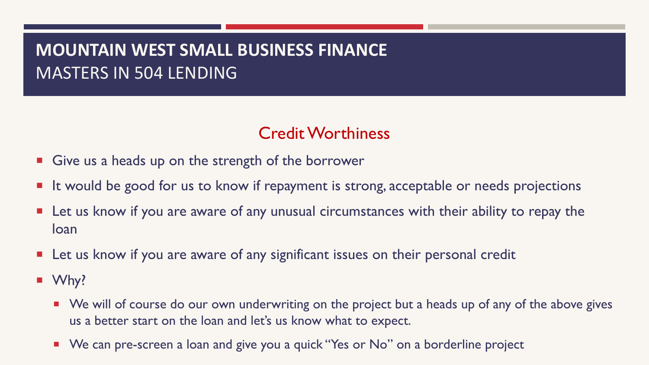#### Credit Worthiness

- $\blacksquare$  Give us a heads up on the strength of the borrower
- **If it would be good for us to know if repayment is strong, acceptable or needs projections**
- **E** Let us know if you are aware of any unusual circumstances with their ability to repay the loan
- **E** Let us know if you are aware of any significant issues on their personal credit
- Why?
	- We will of course do our own underwriting on the project but a heads up of any of the above gives us a better start on the loan and let's us know what to expect.
	- We can pre-screen a loan and give you a quick "Yes or No" on a borderline project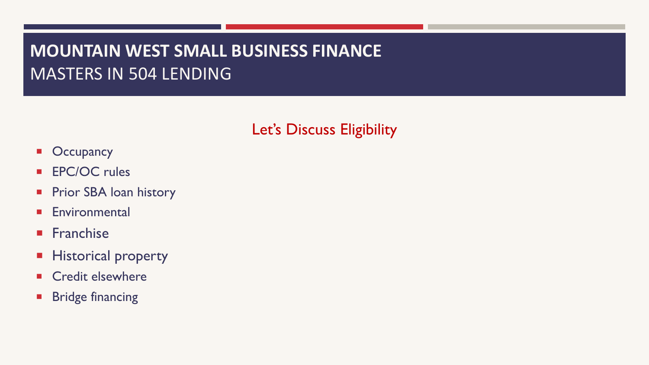#### Let's Discuss Eligibility

- **Occupancy**
- **EPC/OC rules**
- **Prior SBA loan history**
- **Environmental**
- **Franchise**
- **E** Historical property
- **E** Credit elsewhere
- **E** Bridge financing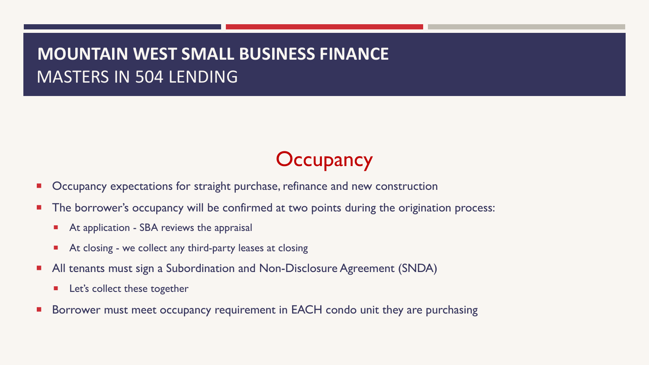# **Occupancy**

- Occupancy expectations for straight purchase, refinance and new construction
- The borrower's occupancy will be confirmed at two points during the origination process:
	- At application SBA reviews the appraisal
	- At closing we collect any third-party leases at closing
- All tenants must sign a Subordination and Non-Disclosure Agreement (SNDA)
	- **EXEC**'s collect these together
- Borrower must meet occupancy requirement in EACH condo unit they are purchasing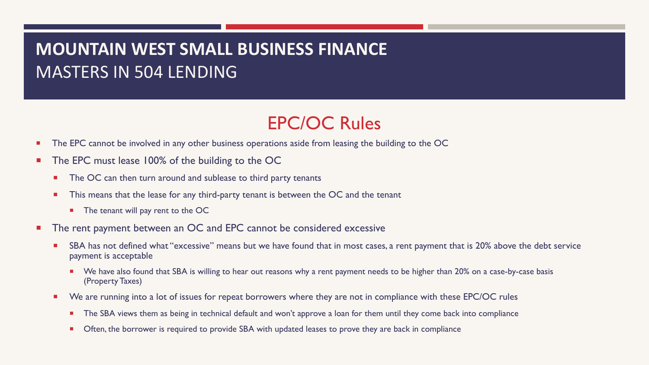#### EPC/OC Rules

- The EPC cannot be involved in any other business operations aside from leasing the building to the OC
- The EPC must lease 100% of the building to the OC
	- The OC can then turn around and sublease to third party tenants
	- **This means that the lease for any third-party tenant is between the OC and the tenant** 
		- The tenant will pay rent to the OC
- The rent payment between an OC and EPC cannot be considered excessive
	- SBA has not defined what "excessive" means but we have found that in most cases, a rent payment that is 20% above the debt service payment is acceptable
		- We have also found that SBA is willing to hear out reasons why a rent payment needs to be higher than 20% on a case-by-case basis (Property Taxes)
	- We are running into a lot of issues for repeat borrowers where they are not in compliance with these EPC/OC rules
		- **The SBA views them as being in technical default and won't approve a loan for them until they come back into compliance**
		- Often, the borrower is required to provide SBA with updated leases to prove they are back in compliance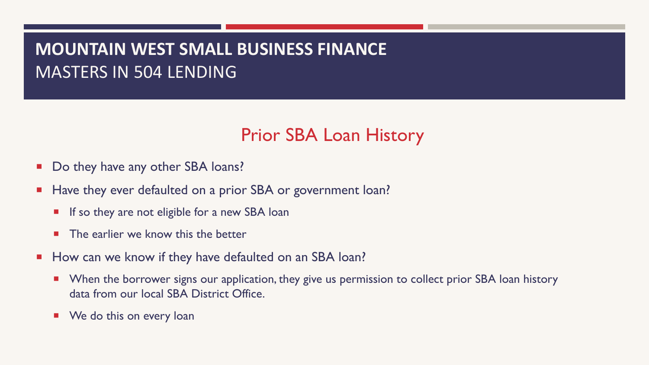#### Prior SBA Loan History

- Do they have any other SBA loans?
- **E** Have they ever defaulted on a prior SBA or government loan?
	- $\blacksquare$  If so they are not eligible for a new SBA loan
	- $\blacksquare$  The earlier we know this the better
- **How can we know if they have defaulted on an SBA loan?** 
	- When the borrower signs our application, they give us permission to collect prior SBA loan history data from our local SBA District Office.
	- We do this on every loan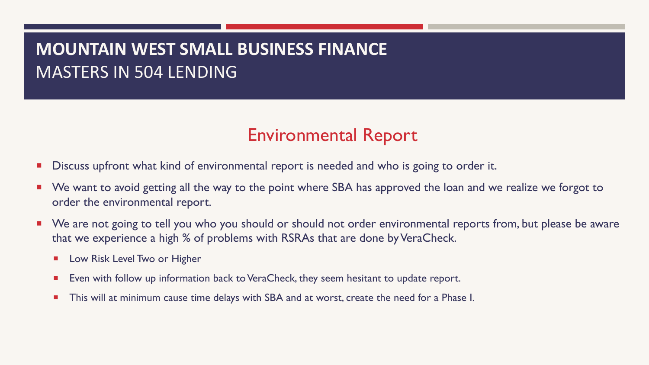#### Environmental Report

- Discuss upfront what kind of environmental report is needed and who is going to order it.
- We want to avoid getting all the way to the point where SBA has approved the loan and we realize we forgot to order the environmental report.
- We are not going to tell you who you should or should not order environmental reports from, but please be aware that we experience a high % of problems with RSRAs that are done by VeraCheck.
	- **E** Low Risk Level Two or Higher
	- Even with follow up information back to VeraCheck, they seem hesitant to update report.
	- This will at minimum cause time delays with SBA and at worst, create the need for a Phase I.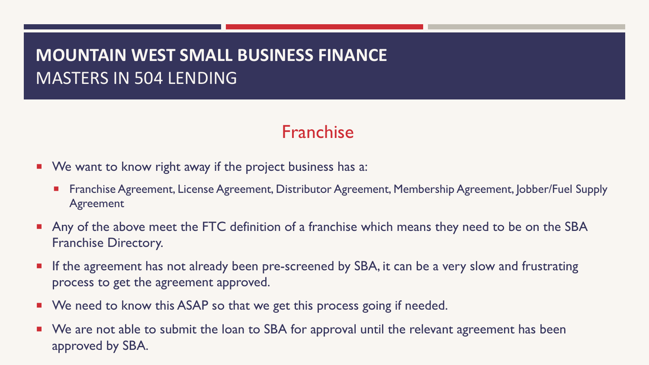#### Franchise

- **We want to know right away if the project business has a:** 
	- Franchise Agreement, License Agreement, Distributor Agreement, Membership Agreement, Jobber/Fuel Supply Agreement
- **Any of the above meet the FTC definition of a franchise which means they need to be on the SBA** Franchise Directory.
- **•** If the agreement has not already been pre-screened by SBA, it can be a very slow and frustrating process to get the agreement approved.
- We need to know this ASAP so that we get this process going if needed.
- We are not able to submit the loan to SBA for approval until the relevant agreement has been approved by SBA.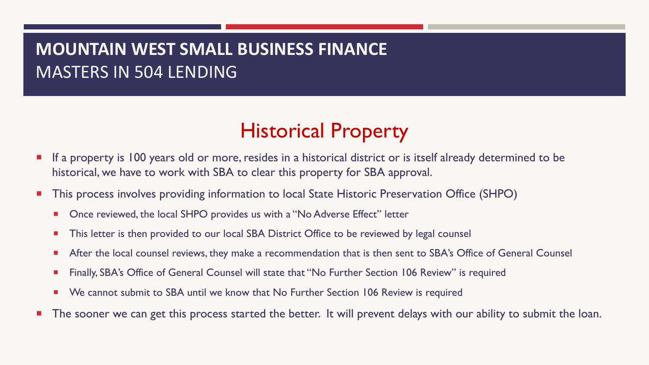# Historical Property

- If a property is 100 years old or more, resides in a historical district or is itself already determined to be historical, we have to work with SBA to clear this property for SBA approval.
- This process involves providing information to local State Historic Preservation Office (SHPO)
	- Once reviewed, the local SHPO provides us with a "No Adverse Effect" letter
	- This letter is then provided to our local SBA District Office to be reviewed by legal counsel
	- After the local counsel reviews, they make a recommendation that is then sent to SBA's Office of General Counsel
	- Finally, SBA's Office of General Counsel will state that "No Further Section 106 Review" is required
	- We cannot submit to SBA until we know that No Further Section 106 Review is required
- The sooner we can get this process started the better. It will prevent delays with our ability to submit the loan.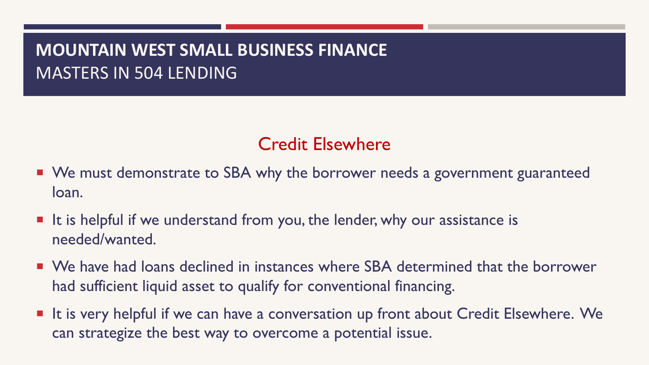## Credit Elsewhere

- We must demonstrate to SBA why the borrower needs a government guaranteed loan.
- It is helpful if we understand from you, the lender, why our assistance is needed/wanted.
- We have had loans declined in instances where SBA determined that the borrower had sufficient liquid asset to qualify for conventional financing.
- It is very helpful if we can have a conversation up front about Credit Elsewhere. We can strategize the best way to overcome a potential issue.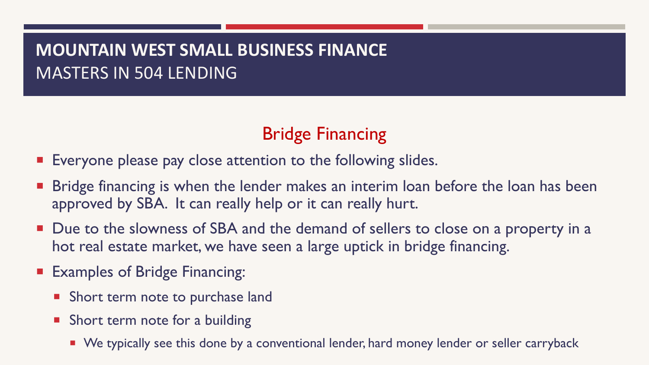### Bridge Financing

- Everyone please pay close attention to the following slides.
- Bridge financing is when the lender makes an interim loan before the loan has been approved by SBA. It can really help or it can really hurt.
- Due to the slowness of SBA and the demand of sellers to close on a property in a hot real estate market, we have seen a large uptick in bridge financing.
- **Examples of Bridge Financing:** 
	- **Short term note to purchase land**
	- **Short term note for a building** 
		- We typically see this done by a conventional lender, hard money lender or seller carryback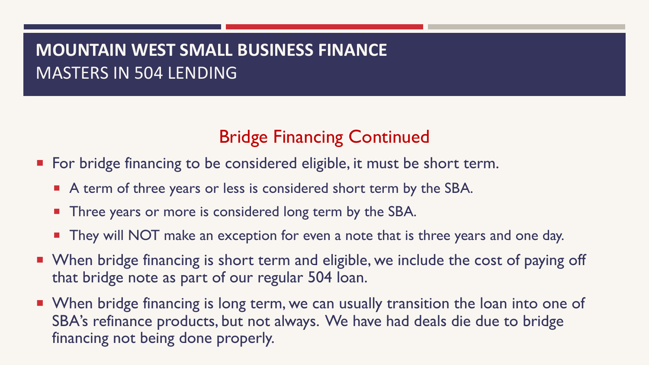## Bridge Financing Continued

- For bridge financing to be considered eligible, it must be short term.
	- **E** A term of three years or less is considered short term by the SBA.
	- **Three years or more is considered long term by the SBA.**
	- **They will NOT** make an exception for even a note that is three years and one day.
- When bridge financing is short term and eligible, we include the cost of paying off that bridge note as part of our regular 504 loan.
- When bridge financing is long term, we can usually transition the loan into one of SBA's refinance products, but not always. We have had deals die due to bridge financing not being done properly.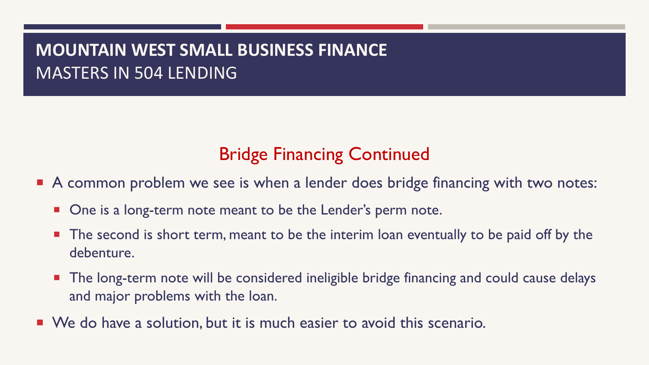#### Bridge Financing Continued

- A common problem we see is when a lender does bridge financing with two notes:
	- **One is a long-term note meant to be the Lender's perm note.**
	- **The second is short term, meant to be the interim loan eventually to be paid off by the** debenture.
	- The long-term note will be considered ineligible bridge financing and could cause delays and major problems with the loan.
- We do have a solution, but it is much easier to avoid this scenario.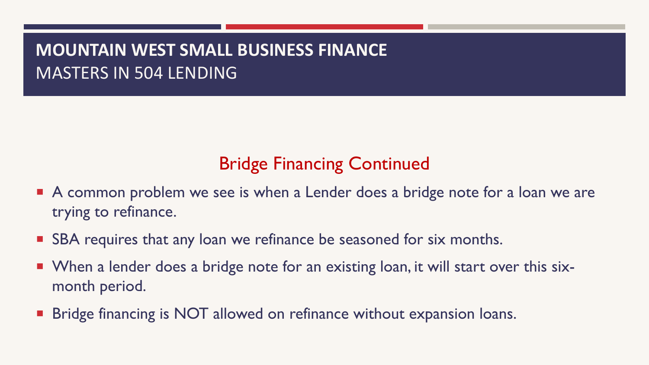### Bridge Financing Continued

- A common problem we see is when a Lender does a bridge note for a loan we are trying to refinance.
- SBA requires that any loan we refinance be seasoned for six months.
- When a lender does a bridge note for an existing loan, it will start over this sixmonth period.
- Bridge financing is NOT allowed on refinance without expansion loans.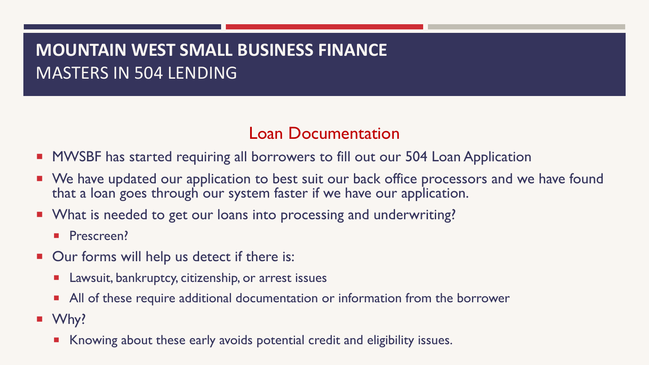#### Loan Documentation

- **MWSBF** has started requiring all borrowers to fill out our 504 Loan Application
- We have updated our application to best suit our back office processors and we have found that a loan goes through our system faster if we have our application.
- What is needed to get our loans into processing and underwriting?
	- **•** Prescreen?
- Our forms will help us detect if there is:
	- Lawsuit, bankruptcy, citizenship, or arrest issues
	- **All of these require additional documentation or information from the borrower**
- Why?
	- **E** Knowing about these early avoids potential credit and eligibility issues.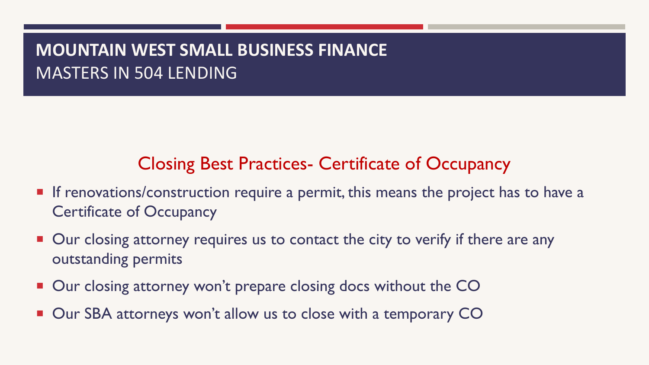#### Closing Best Practices- Certificate of Occupancy

- **If renovations/construction require a permit, this means the project has to have a** Certificate of Occupancy
- Our closing attorney requires us to contact the city to verify if there are any outstanding permits
- Our closing attorney won't prepare closing docs without the CO
- Our SBA attorneys won't allow us to close with a temporary CO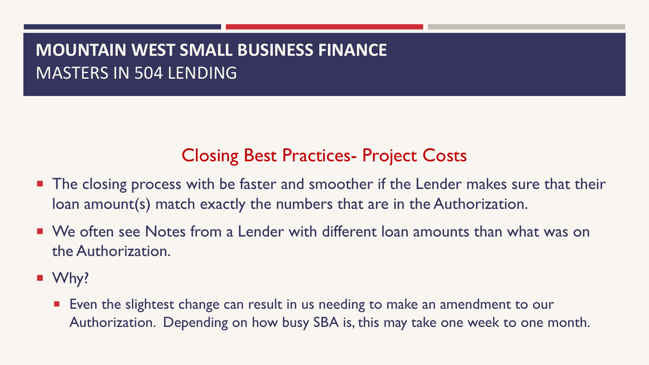### Closing Best Practices- Project Costs

- **The closing process with be faster and smoother if the Lender makes sure that their** loan amount(s) match exactly the numbers that are in the Authorization.
- We often see Notes from a Lender with different loan amounts than what was on the Authorization.
- Why?
	- Even the slightest change can result in us needing to make an amendment to our Authorization. Depending on how busy SBA is, this may take one week to one month.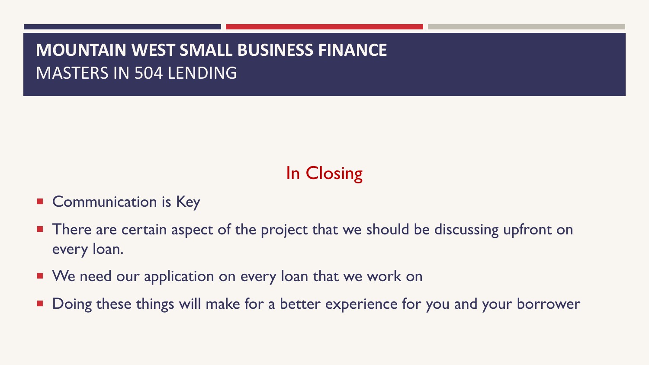# In Closing

- **Communication is Key**
- There are certain aspect of the project that we should be discussing upfront on every loan.
- **We need our application on every loan that we work on**
- Doing these things will make for a better experience for you and your borrower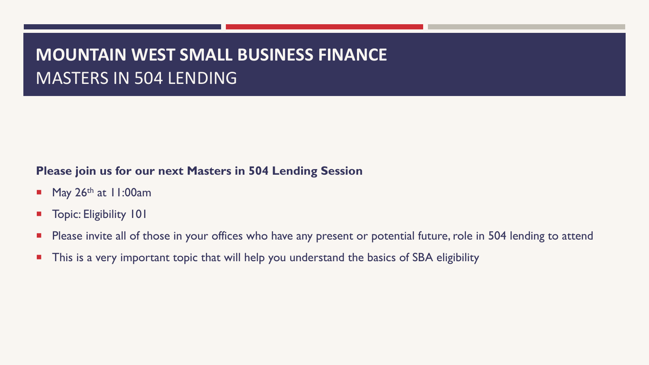#### **Please join us for our next Masters in 504 Lending Session**

- May  $26<sup>th</sup>$  at 11:00am
- **Topic: Eligibility 101**
- **Please invite all of those in your offices who have any present or potential future, role in 504 lending to attend**
- **This is a very important topic that will help you understand the basics of SBA eligibility**